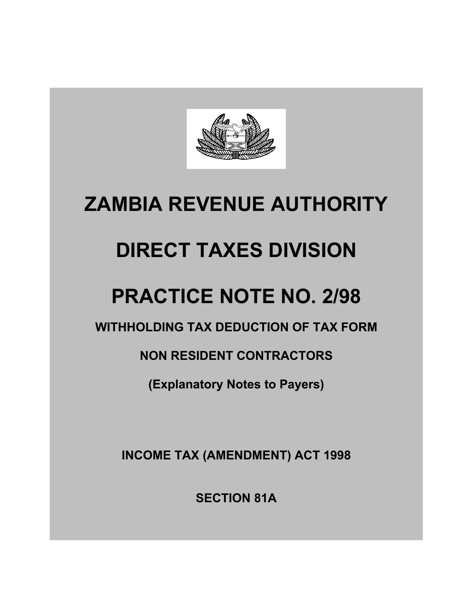

## **ZAMBIA REVENUE AUTHORITY**

# **DIRECT TAXES DIVISION**

## **PRACTICE NOTE NO. 2/98**

**WITHHOLDING TAX DEDUCTION OF TAX FORM** 

**NON RESIDENT CONTRACTORS** 

**(Explanatory Notes to Payers)** 

**INCOME TAX (AMENDMENT) ACT 1998** 

**SECTION 81A**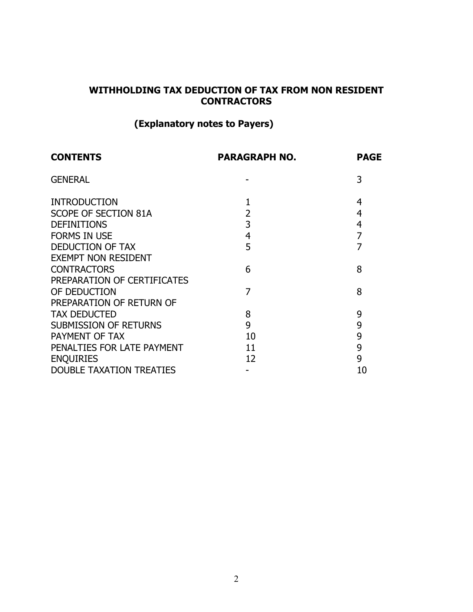## **WITHHOLDING TAX DEDUCTION OF TAX FROM NON RESIDENT CONTRACTORS**

## **(Explanatory notes to Payers)**

| <b>CONTENTS</b>                 | <b>PARAGRAPH NO.</b> | <b>PAGE</b>    |
|---------------------------------|----------------------|----------------|
| <b>GENERAL</b>                  |                      | 3              |
| <b>INTRODUCTION</b>             |                      | 4              |
| SCOPE OF SECTION 81A            | $\overline{2}$       | 4              |
| <b>DEFINITIONS</b>              | 3                    | $\overline{4}$ |
| <b>FORMS IN USE</b>             | $\overline{4}$       | 7              |
| <b>DEDUCTION OF TAX</b>         | 5                    | 7              |
| <b>EXEMPT NON RESIDENT</b>      |                      |                |
| <b>CONTRACTORS</b>              | 6                    | 8              |
| PREPARATION OF CERTIFICATES     |                      |                |
| OF DEDUCTION                    | 7                    | 8              |
| PREPARATION OF RETURN OF        |                      |                |
| <b>TAX DEDUCTED</b>             | 8                    | 9              |
| <b>SUBMISSION OF RETURNS</b>    | 9                    | 9              |
| PAYMENT OF TAX                  | 10                   | 9              |
| PENALTIES FOR LATE PAYMENT      | 11                   | 9              |
| <b>ENQUIRIES</b>                | 12                   | 9              |
| <b>DOUBLE TAXATION TREATIES</b> |                      | 10             |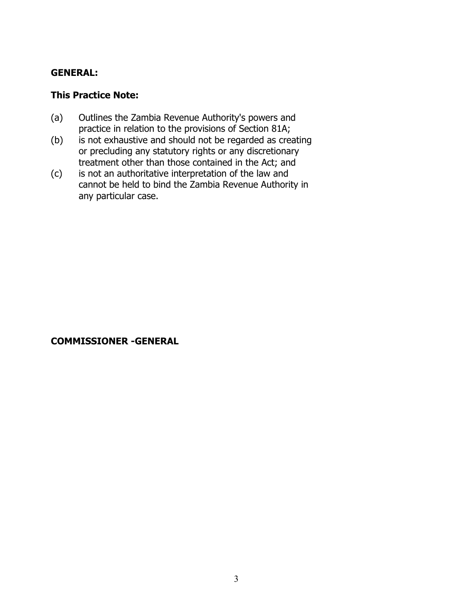#### **GENERAL:**

#### **This Practice Note:**

- (a) Outlines the Zambia Revenue Authority's powers and practice in relation to the provisions of Section 81A;
- (b) is not exhaustive and should not be regarded as creating or precluding any statutory rights or any discretionary treatment other than those contained in the Act; and
- (c) is not an authoritative interpretation of the law and cannot be held to bind the Zambia Revenue Authority in any particular case.

#### **COMMISSIONER -GENERAL**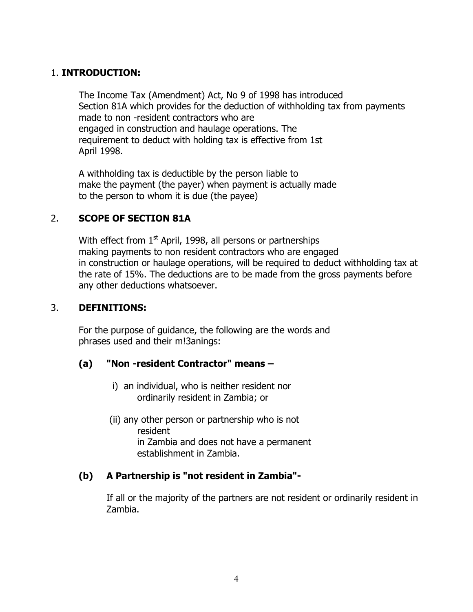#### 1. **INTRODUCTION:**

The Income Tax (Amendment) Act, No 9 of 1998 has introduced Section 81A which provides for the deduction of withholding tax from payments made to non -resident contractors who are engaged in construction and haulage operations. The requirement to deduct with holding tax is effective from 1st April 1998.

A withholding tax is deductible by the person liable to make the payment (the payer) when payment is actually made to the person to whom it is due (the payee)

## 2. **SCOPE OF SECTION 81A**

With effect from  $1<sup>st</sup>$  April, 1998, all persons or partnerships making payments to non resident contractors who are engaged in construction or haulage operations, will be required to deduct withholding tax at the rate of 15%. The deductions are to be made from the gross payments before any other deductions whatsoever.

#### 3. **DEFINITIONS:**

For the purpose of guidance, the following are the words and phrases used and their m!3anings:

## **(a) "Non -resident Contractor" means –**

- i) an individual, who is neither resident nor ordinarily resident in Zambia; or
- (ii) any other person or partnership who is not resident in Zambia and does not have a permanent establishment in Zambia.

## **(b) A Partnership is "not resident in Zambia"-**

If all or the majority of the partners are not resident or ordinarily resident in Zambia.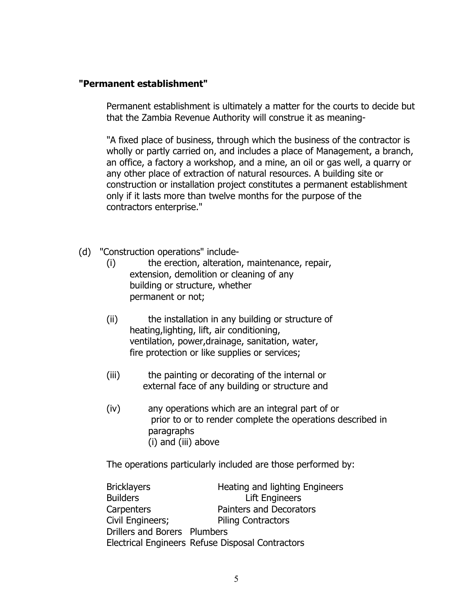#### **"Permanent establishment"**

Permanent establishment is ultimately a matter for the courts to decide but that the Zambia Revenue Authority will construe it as meaning-

"A fixed place of business, through which the business of the contractor is wholly or partly carried on, and includes a place of Management, a branch, an office, a factory a workshop, and a mine, an oil or gas well, a quarry or any other place of extraction of natural resources. A building site or construction or installation project constitutes a permanent establishment only if it lasts more than twelve months for the purpose of the contractors enterprise."

- (d) "Construction operations" include-
	- (i) the erection, alteration, maintenance, repair, extension, demolition or cleaning of any building or structure, whether permanent or not;
	- (ii) the installation in any building or structure of heating,lighting, lift, air conditioning, ventilation, power,drainage, sanitation, water, fire protection or like supplies or services;
	- (iii) the painting or decorating of the internal or external face of any building or structure and
	- (iv) any operations which are an integral part of or prior to or to render complete the operations described in paragraphs (i) and (iii) above

The operations particularly included are those performed by:

| <b>Bricklayers</b>           | Heating and lighting Engineers                   |
|------------------------------|--------------------------------------------------|
| <b>Builders</b>              | <b>Lift Engineers</b>                            |
| Carpenters                   | Painters and Decorators                          |
| Civil Engineers;             | <b>Piling Contractors</b>                        |
| Drillers and Borers Plumbers |                                                  |
|                              | Electrical Engineers Refuse Disposal Contractors |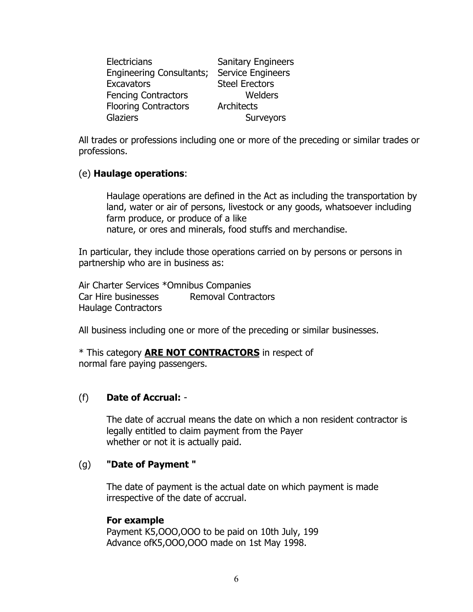| <b>Electricians</b>             | <b>Sanitary Engineers</b> |
|---------------------------------|---------------------------|
| <b>Engineering Consultants;</b> | <b>Service Engineers</b>  |
| <b>Excavators</b>               | <b>Steel Erectors</b>     |
| <b>Fencing Contractors</b>      | Welders                   |
| <b>Flooring Contractors</b>     | Architects                |
| <b>Glaziers</b>                 | Surveyors                 |

All trades or professions including one or more of the preceding or similar trades or professions.

#### (e) **Haulage operations**:

Haulage operations are defined in the Act as including the transportation by land, water or air of persons, livestock or any goods, whatsoever including farm produce, or produce of a like nature, or ores and minerals, food stuffs and merchandise.

In particular, they include those operations carried on by persons or persons in partnership who are in business as:

Air Charter Services \*Omnibus Companies Car Hire businesses Removal Contractors Haulage Contractors

All business including one or more of the preceding or similar businesses.

\* This category **ARE NOT CONTRACTORS** in respect of normal fare paying passengers.

#### (f) **Date of Accrual:** -

The date of accrual means the date on which a non resident contractor is legally entitled to claim payment from the Payer whether or not it is actually paid.

#### (g) **"Date of Payment "**

The date of payment is the actual date on which payment is made irrespective of the date of accrual.

#### **For example**

Payment K5,OOO,OOO to be paid on 10th July, 199 Advance ofK5,OOO,OOO made on 1st May 1998.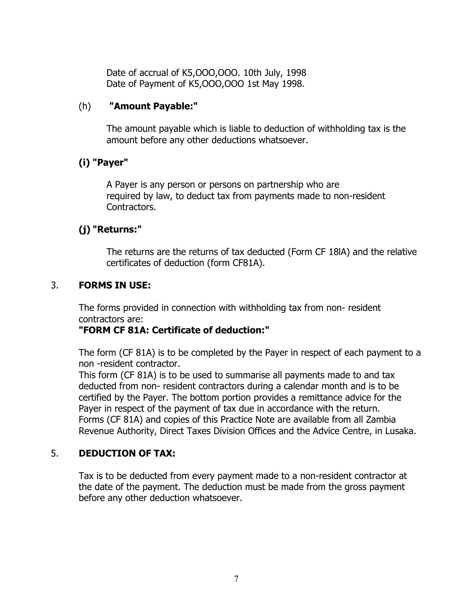Date of accrual of K5,OOO,OOO. 10th July, 1998 Date of Payment of K5,OOO,OOO 1st May 1998.

#### (h) **"Amount Payable:"**

The amount payable which is liable to deduction of withholding tax is the amount before any other deductions whatsoever.

## **(i) "Payer"**

A Payer is any person or persons on partnership who are required by law, to deduct tax from payments made to non-resident Contractors.

## **(j) "Returns:"**

The returns are the returns of tax deducted (Form CF 18lA) and the relative certificates of deduction (form CF81A).

#### 3. **FORMS IN USE:**

The forms provided in connection with withholding tax from non- resident contractors are:

#### **"FORM CF 81A: Certificate of deduction:"**

The form (CF 81A) is to be completed by the Payer in respect of each payment to a non -resident contractor.

This form (CF 81A) is to be used to summarise all payments made to and tax deducted from non- resident contractors during a calendar month and is to be certified by the Payer. The bottom portion provides a remittance advice for the Payer in respect of the payment of tax due in accordance with the return. Forms (CF 81A) and copies of this Practice Note are available from all Zambia Revenue Authority, Direct Taxes Division Offices and the Advice Centre, in Lusaka.

#### 5. **DEDUCTION OF TAX:**

Tax is to be deducted from every payment made to a non-resident contractor at the date of the payment. The deduction must be made from the gross payment before any other deduction whatsoever.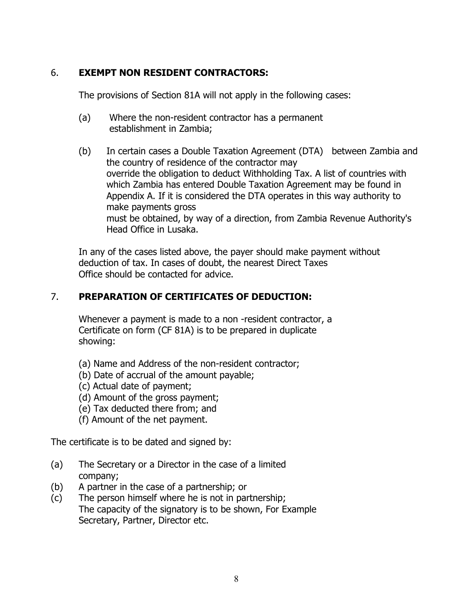## 6. **EXEMPT NON RESIDENT CONTRACTORS:**

The provisions of Section 81A will not apply in the following cases:

- (a) Where the non-resident contractor has a permanent establishment in Zambia;
- (b) In certain cases a Double Taxation Agreement (DTA) between Zambia and the country of residence of the contractor may override the obligation to deduct Withholding Tax. A list of countries with which Zambia has entered Double Taxation Agreement may be found in Appendix A. If it is considered the DTA operates in this way authority to make payments gross must be obtained, by way of a direction, from Zambia Revenue Authority's Head Office in Lusaka.

In any of the cases listed above, the payer should make payment without deduction of tax. In cases of doubt, the nearest Direct Taxes Office should be contacted for advice.

## 7. **PREPARATION OF CERTIFICATES OF DEDUCTION:**

Whenever a payment is made to a non -resident contractor, a Certificate on form (CF 81A) is to be prepared in duplicate showing:

- (a) Name and Address of the non-resident contractor;
- (b) Date of accrual of the amount payable;
- (c) Actual date of payment;
- (d) Amount of the gross payment;
- (e) Tax deducted there from; and
- (f) Amount of the net payment.

The certificate is to be dated and signed by:

- (a) The Secretary or a Director in the case of a limited company;
- (b) A partner in the case of a partnership; or
- (c) The person himself where he is not in partnership; The capacity of the signatory is to be shown, For Example Secretary, Partner, Director etc.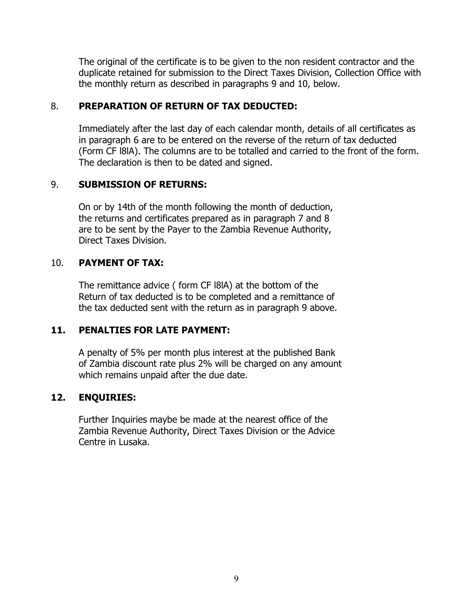The original of the certificate is to be given to the non resident contractor and the duplicate retained for submission to the Direct Taxes Division, Collection Office with the monthly return as described in paragraphs 9 and 10, below.

#### 8. **PREPARATION OF RETURN OF TAX DEDUCTED:**

Immediately after the last day of each calendar month, details of all certificates as in paragraph 6 are to be entered on the reverse of the return of tax deducted (Form CF l8lA). The columns are to be totalled and carried to the front of the form. The declaration is then to be dated and signed.

## 9. **SUBMISSION OF RETURNS:**

On or by 14th of the month following the month of deduction, the returns and certificates prepared as in paragraph 7 and 8 are to be sent by the Payer to the Zambia Revenue Authority, Direct Taxes Division.

## 10. **PAYMENT OF TAX:**

The remittance advice ( form CF l8lA) at the bottom of the Return of tax deducted is to be completed and a remittance of the tax deducted sent with the return as in paragraph 9 above.

## **11. PENALTIES FOR LATE PAYMENT:**

A penalty of 5% per month plus interest at the published Bank of Zambia discount rate plus 2% will be charged on any amount which remains unpaid after the due date.

## **12. ENQUIRIES:**

Further Inquiries maybe be made at the nearest office of the Zambia Revenue Authority, Direct Taxes Division or the Advice Centre in Lusaka.